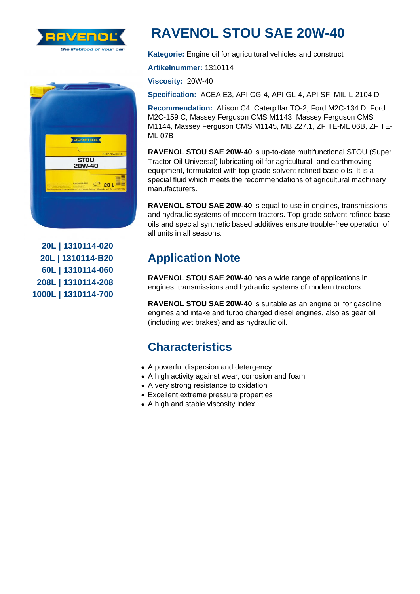## RAVENOL STOU SAE 20W-40

Kategorie: Engine oil for agricultural vehicles and construct

Artikelnummer: 1310114

Viscosity: 20W-40

Specification: ACEA E3, API CG-4, API GL-4, API SF, MIL-L-2104 D

Recommendation: Allison C4, Caterpillar TO-2, Ford M2C-134 D, Ford M2C-159 C, Massey Ferguson CMS M1143, Massey Ferguson CMS M1144, Massey Ferguson CMS M1145, MB 227.1, ZF TE-ML 06B, ZF TE-ML 07B

RAVENOL STOU SAE 20W-40 is up-to-date multifunctional STOU (Super Tractor Oil Universal) lubricating oil for agricultural- and earthmoving equipment, formulated with top-grade solvent refined base oils. It is a special fluid which meets the recommendations of agricultural machinery manufacturers.

RAVENOL STOU SAE 20W-40 is equal to use in engines, transmissions and hydraulic systems of modern tractors. Top-grade solvent refined base oils and special synthetic based additives ensure trouble-free operation of all units in all seasons.

Application Note

RAVENOL STOU SAE 20W-40 has a wide range of applications in engines, transmissions and hydraulic systems of modern tractors.

RAVENOL STOU SAE 20W-40 is suitable as an engine oil for gasoline engines and intake and turbo charged diesel engines, also as gear oil (including wet brakes) and as hydraulic oil.

## **Characteristics**

- A powerful dispersion and detergency
- A high activity against wear, corrosion and foam
- A very strong resistance to oxidation
- Excellent extreme pressure properties
- A high and stable viscosity index

20L | 1310114-020 20L | 1310114-B20 60L | 1310114-060 208L | 1310114-208 1000L | 1310114-700